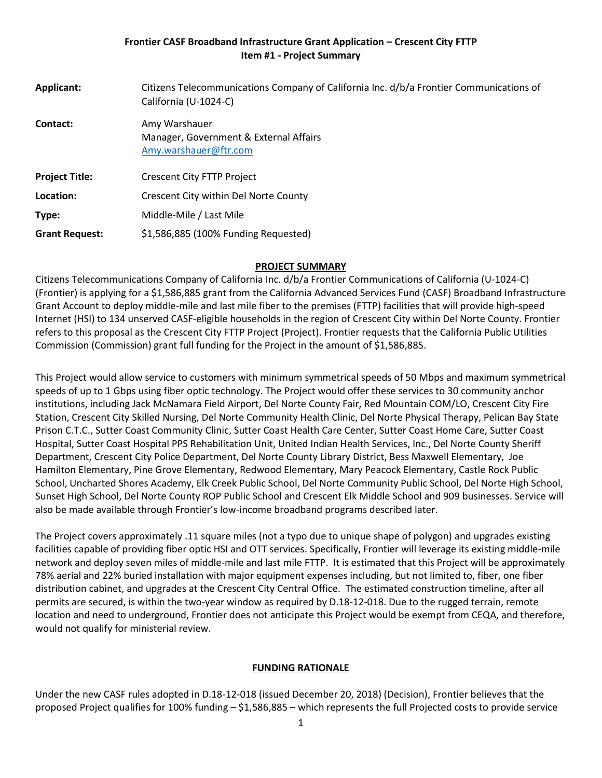## **Frontier CASF Broadband Infrastructure Grant Application – Crescent City FTTP Item #1 - Project Summary**

| Applicant:            | Citizens Telecommunications Company of California Inc. d/b/a Frontier Communications of<br>California (U-1024-C) |
|-----------------------|------------------------------------------------------------------------------------------------------------------|
| Contact:              | Amy Warshauer<br>Manager, Government & External Affairs<br>Amy.warshauer@ftr.com                                 |
| <b>Project Title:</b> | <b>Crescent City FTTP Project</b>                                                                                |
| Location:             | Crescent City within Del Norte County                                                                            |
| Type:                 | Middle-Mile / Last Mile                                                                                          |
| <b>Grant Request:</b> | \$1,586,885 (100% Funding Requested)                                                                             |

#### **PROJECT SUMMARY**

Citizens Telecommunications Company of California Inc. d/b/a Frontier Communications of California (U-1024-C) (Frontier) is applying for a \$1,586,885 grant from the California Advanced Services Fund (CASF) Broadband Infrastructure Grant Account to deploy middle-mile and last mile fiber to the premises (FTTP) facilities that will provide high-speed Internet (HSI) to 134 unserved CASF-eligible households in the region of Crescent City within Del Norte County. Frontier refers to this proposal as the Crescent City FTTP Project (Project). Frontier requests that the California Public Utilities Commission (Commission) grant full funding for the Project in the amount of \$1,586,885.

This Project would allow service to customers with minimum symmetrical speeds of 50 Mbps and maximum symmetrical speeds of up to 1 Gbps using fiber optic technology. The Project would offer these services to 30 community anchor institutions, including Jack McNamara Field Airport, Del Norte County Fair, Red Mountain COM/LO, Crescent City Fire Station, Crescent City Skilled Nursing, Del Norte Community Health Clinic, Del Norte Physical Therapy, Pelican Bay State Prison C.T.C., Sutter Coast Community Clinic, Sutter Coast Health Care Center, Sutter Coast Home Care, Sutter Coast Hospital, Sutter Coast Hospital PPS Rehabilitation Unit, United Indian Health Services, Inc., Del Norte County Sheriff Department, Crescent City Police Department, Del Norte County Library District, Bess Maxwell Elementary, Joe Hamilton Elementary, Pine Grove Elementary, Redwood Elementary, Mary Peacock Elementary, Castle Rock Public School, Uncharted Shores Academy, Elk Creek Public School, Del Norte Community Public School, Del Norte High School, Sunset High School, Del Norte County ROP Public School and Crescent Elk Middle School and 909 businesses. Service will also be made available through Frontier's low-income broadband programs described later.

The Project covers approximately .11 square miles (not a typo due to unique shape of polygon) and upgrades existing facilities capable of providing fiber optic HSI and OTT services. Specifically, Frontier will leverage its existing middle-mile network and deploy seven miles of middle-mile and last mile FTTP. It is estimated that this Project will be approximately 78% aerial and 22% buried installation with major equipment expenses including, but not limited to, fiber, one fiber distribution cabinet, and upgrades at the Crescent City Central Office. The estimated construction timeline, after all permits are secured, is within the two-year window as required by D.18-12-018. Due to the rugged terrain, remote location and need to underground, Frontier does not anticipate this Project would be exempt from CEQA, and therefore, would not qualify for ministerial review.

## **FUNDING RATIONALE**

Under the new CASF rules adopted in D.18-12-018 (issued December 20, 2018) (Decision), Frontier believes that the proposed Project qualifies for 100% funding – \$1,586,885 – which represents the full Projected costs to provide service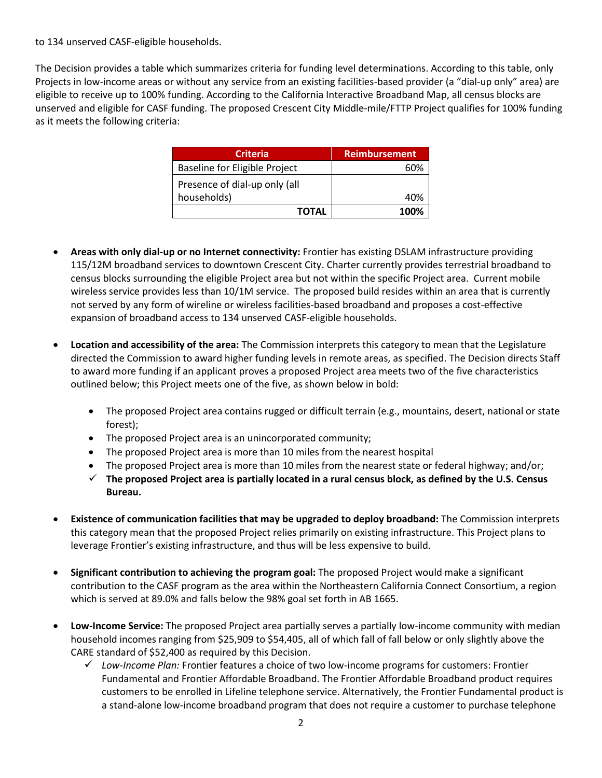to 134 unserved CASF-eligible households.

The Decision provides a table which summarizes criteria for funding level determinations. According to this table, only Projects in low-income areas or without any service from an existing facilities-based provider (a "dial-up only" area) are eligible to receive up to 100% funding. According to the California Interactive Broadband Map, all census blocks are unserved and eligible for CASF funding. The proposed Crescent City Middle-mile/FTTP Project qualifies for 100% funding as it meets the following criteria:

| <b>Criteria</b>                      | <b>Reimbursement</b> |
|--------------------------------------|----------------------|
| <b>Baseline for Eligible Project</b> | ናህል                  |
| Presence of dial-up only (all        |                      |
| households)                          | 40%                  |
| TOTAL                                | 100%                 |

- **Areas with only dial-up or no Internet connectivity:** Frontier has existing DSLAM infrastructure providing 115/12M broadband services to downtown Crescent City. Charter currently provides terrestrial broadband to census blocks surrounding the eligible Project area but not within the specific Project area. Current mobile wireless service provides less than 10/1M service. The proposed build resides within an area that is currently not served by any form of wireline or wireless facilities-based broadband and proposes a cost-effective expansion of broadband access to 134 unserved CASF-eligible households.
- **Location and accessibility of the area:** The Commission interprets this category to mean that the Legislature directed the Commission to award higher funding levels in remote areas, as specified. The Decision directs Staff to award more funding if an applicant proves a proposed Project area meets two of the five characteristics outlined below; this Project meets one of the five, as shown below in bold:
	- The proposed Project area contains rugged or difficult terrain (e.g., mountains, desert, national or state forest);
	- The proposed Project area is an unincorporated community;
	- The proposed Project area is more than 10 miles from the nearest hospital
	- The proposed Project area is more than 10 miles from the nearest state or federal highway; and/or;
	- ✓ **The proposed Project area is partially located in a rural census block, as defined by the U.S. Census Bureau.**
- **Existence of communication facilities that may be upgraded to deploy broadband:** The Commission interprets this category mean that the proposed Project relies primarily on existing infrastructure. This Project plans to leverage Frontier's existing infrastructure, and thus will be less expensive to build.
- **Significant contribution to achieving the program goal:** The proposed Project would make a significant contribution to the CASF program as the area within the Northeastern California Connect Consortium, a region which is served at 89.0% and falls below the 98% goal set forth in AB 1665.
- **Low-Income Service:** The proposed Project area partially serves a partially low-income community with median household incomes ranging from \$25,909 to \$54,405, all of which fall of fall below or only slightly above the CARE standard of \$52,400 as required by this Decision.
	- ✓ *Low-Income Plan:* Frontier features a choice of two low-income programs for customers: Frontier Fundamental and Frontier Affordable Broadband. The Frontier Affordable Broadband product requires customers to be enrolled in Lifeline telephone service. Alternatively, the Frontier Fundamental product is a stand-alone low-income broadband program that does not require a customer to purchase telephone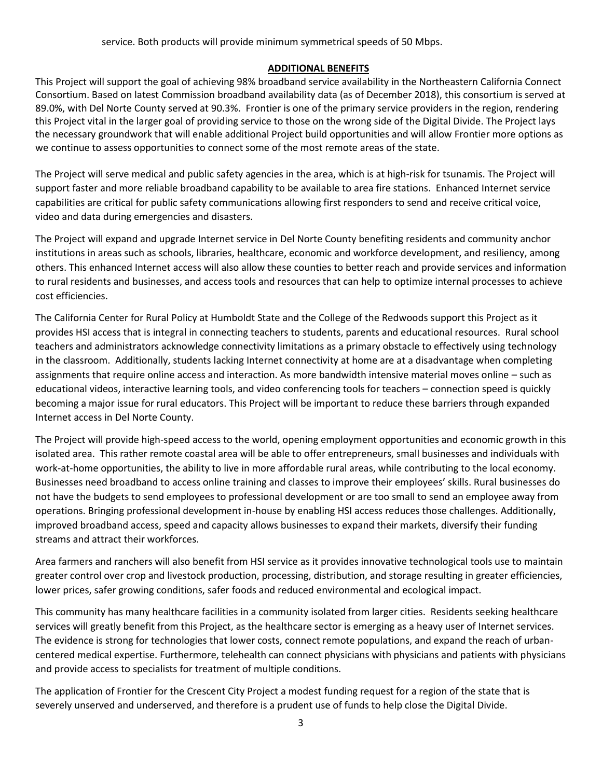### **ADDITIONAL BENEFITS**

This Project will support the goal of achieving 98% broadband service availability in the Northeastern California Connect Consortium. Based on latest Commission broadband availability data (as of December 2018), this consortium is served at 89.0%, with Del Norte County served at 90.3%. Frontier is one of the primary service providers in the region, rendering this Project vital in the larger goal of providing service to those on the wrong side of the Digital Divide. The Project lays the necessary groundwork that will enable additional Project build opportunities and will allow Frontier more options as we continue to assess opportunities to connect some of the most remote areas of the state.

The Project will serve medical and public safety agencies in the area, which is at high-risk for tsunamis. The Project will support faster and more reliable broadband capability to be available to area fire stations. Enhanced Internet service capabilities are critical for public safety communications allowing first responders to send and receive critical voice, video and data during emergencies and disasters.

The Project will expand and upgrade Internet service in Del Norte County benefiting residents and community anchor institutions in areas such as schools, libraries, healthcare, economic and workforce development, and resiliency, among others. This enhanced Internet access will also allow these counties to better reach and provide services and information to rural residents and businesses, and access tools and resources that can help to optimize internal processes to achieve cost efficiencies.

The California Center for Rural Policy at Humboldt State and the College of the Redwoods support this Project as it provides HSI access that is integral in connecting teachers to students, parents and educational resources. Rural school teachers and administrators acknowledge connectivity limitations as a primary obstacle to effectively using technology in the classroom. Additionally, students lacking Internet connectivity at home are at a disadvantage when completing assignments that require online access and interaction. As more bandwidth intensive material moves online – such as educational videos, interactive learning tools, and video conferencing tools for teachers – connection speed is quickly becoming a major issue for rural educators. This Project will be important to reduce these barriers through expanded Internet access in Del Norte County.

The Project will provide high-speed access to the world, opening employment opportunities and economic growth in this isolated area. This rather remote coastal area will be able to offer entrepreneurs, small businesses and individuals with work-at-home opportunities, the ability to live in more affordable rural areas, while contributing to the local economy. Businesses need broadband to access online training and classes to improve their employees' skills. Rural businesses do not have the budgets to send employees to professional development or are too small to send an employee away from operations. Bringing professional development in-house by enabling HSI access reduces those challenges. Additionally, improved broadband access, speed and capacity allows businesses to expand their markets, diversify their funding streams and attract their workforces.

Area farmers and ranchers will also benefit from HSI service as it provides innovative technological tools use to maintain greater control over crop and livestock production, processing, distribution, and storage resulting in greater efficiencies, lower prices, safer growing conditions, safer foods and reduced environmental and ecological impact.

This community has many healthcare facilities in a community isolated from larger cities. Residents seeking healthcare services will greatly benefit from this Project, as the healthcare sector is emerging as a heavy user of Internet services. The evidence is strong for technologies that lower costs, connect remote populations, and expand the reach of urbancentered medical expertise. Furthermore, telehealth can connect physicians with physicians and patients with physicians and provide access to specialists for treatment of multiple conditions.

The application of Frontier for the Crescent City Project a modest funding request for a region of the state that is severely unserved and underserved, and therefore is a prudent use of funds to help close the Digital Divide.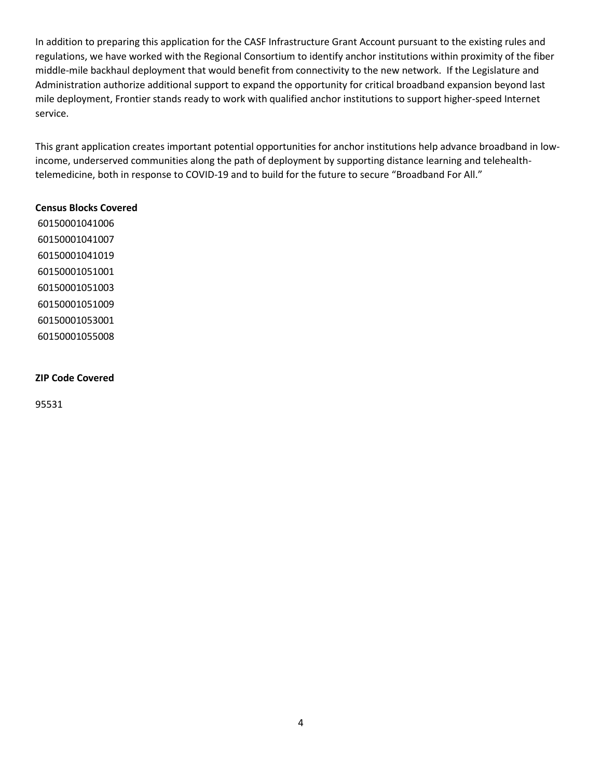In addition to preparing this application for the CASF Infrastructure Grant Account pursuant to the existing rules and regulations, we have worked with the Regional Consortium to identify anchor institutions within proximity of the fiber middle-mile backhaul deployment that would benefit from connectivity to the new network. If the Legislature and Administration authorize additional support to expand the opportunity for critical broadband expansion beyond last mile deployment, Frontier stands ready to work with qualified anchor institutions to support higher-speed Internet service.

This grant application creates important potential opportunities for anchor institutions help advance broadband in lowincome, underserved communities along the path of deployment by supporting distance learning and telehealthtelemedicine, both in response to COVID-19 and to build for the future to secure "Broadband For All."

#### **Census Blocks Covered**

#### **ZIP Code Covered**

95531